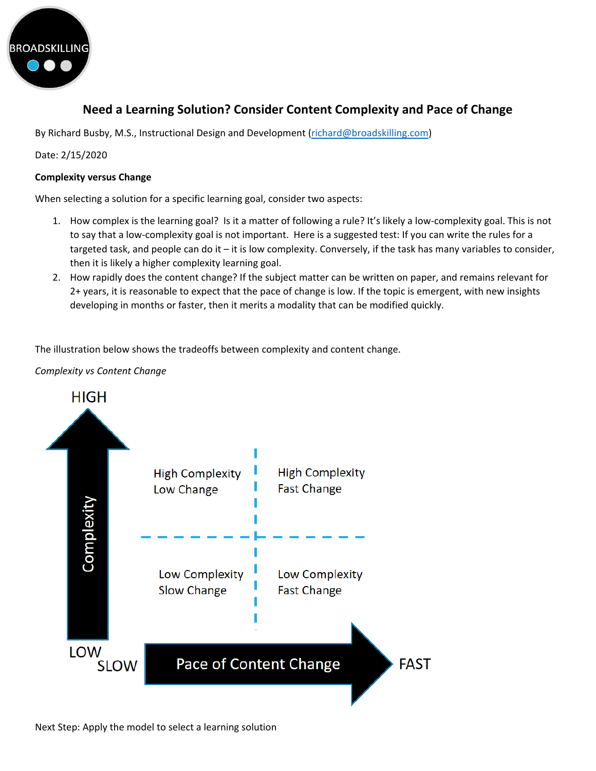

**Need a Learning Solution? Consider Content Complexity and Pace of Change**

By Richard Busby, M.S., Instructional Design and Development [\(richard@broadskilling.com\)](mailto:richard@broadskilling.com)

Date: 2/15/2020

# **Complexity versus Change**

When selecting a solution for a specific learning goal, consider two aspects:

- 1. How complex is the learning goal? Is it a matter of following a rule? It's likely a low-complexity goal. This is not to say that a low-complexity goal is not important. Here is a suggested test: If you can write the rules for a targeted task, and people can do it – it is low complexity. Conversely, if the task has many variables to consider, then it is likely a higher complexity learning goal.
- 2. How rapidly does the content change? If the subject matter can be written on paper, and remains relevant for 2+ years, it is reasonable to expect that the pace of change is low. If the topic is emergent, with new insights developing in months or faster, then it merits a modality that can be modified quickly.

The illustration below shows the tradeoffs between complexity and content change.

*Complexity vs Content Change*



Next Step: Apply the model to select a learning solution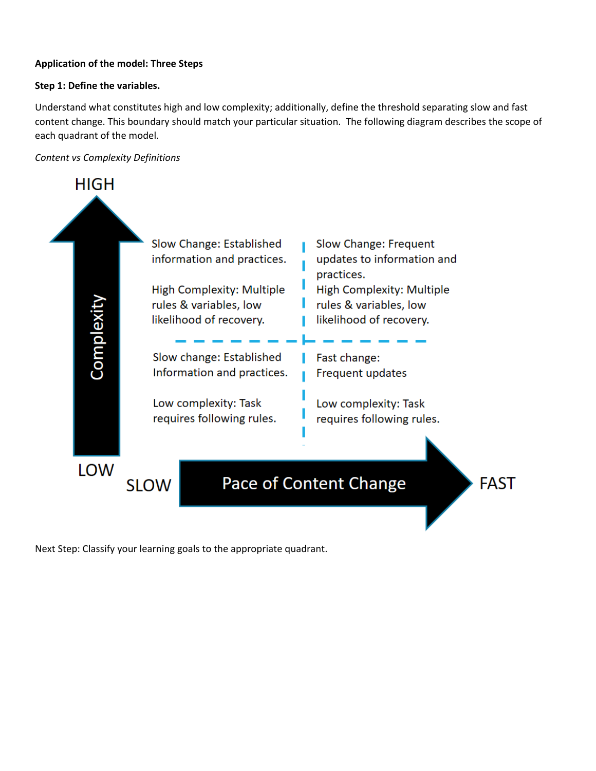# **Application of the model: Three Steps**

### **Step 1: Define the variables.**

Understand what constitutes high and low complexity; additionally, define the threshold separating slow and fast content change. This boundary should match your particular situation. The following diagram describes the scope of each quadrant of the model.

## *Content vs Complexity Definitions*



Next Step: Classify your learning goals to the appropriate quadrant.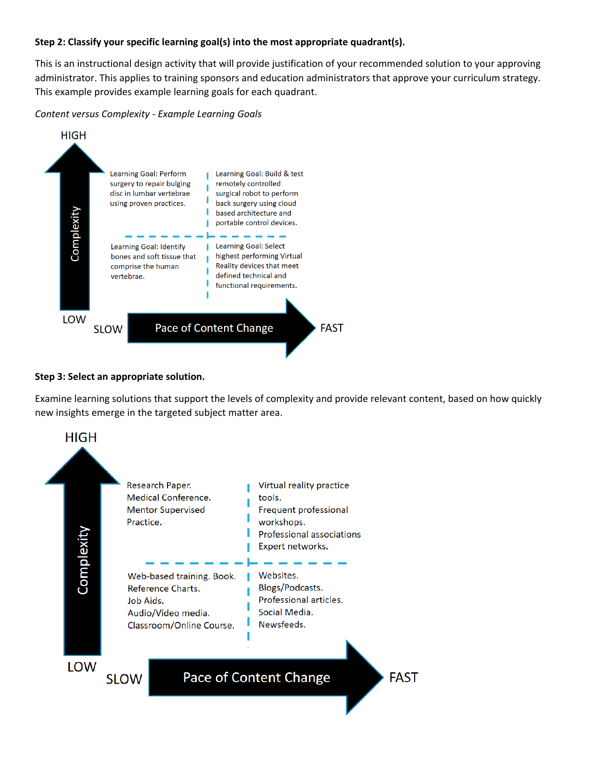### **Step 2: Classify your specific learning goal(s) into the most appropriate quadrant(s).**

This is an instructional design activity that will provide justification of your recommended solution to your approving administrator. This applies to training sponsors and education administrators that approve your curriculum strategy. This example provides example learning goals for each quadrant.

#### *Content versus Complexity - Example Learning Goals*



#### **Step 3: Select an appropriate solution.**

Examine learning solutions that support the levels of complexity and provide relevant content, based on how quickly new insights emerge in the targeted subject matter area.